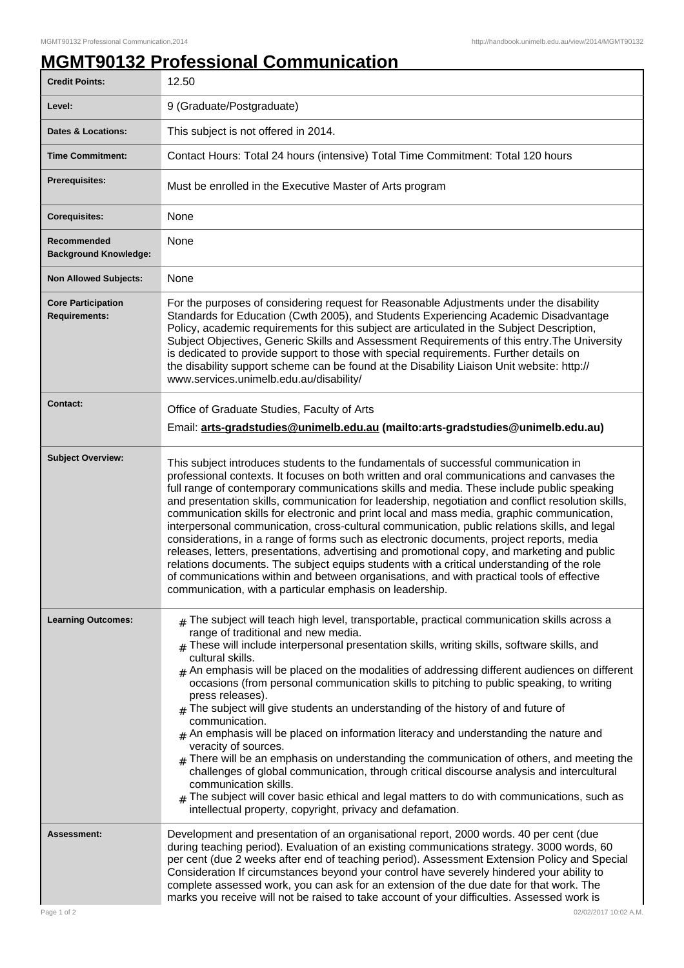## **MGMT90132 Professional Communication**

| <b>Credit Points:</b>                             | 12.50                                                                                                                                                                                                                                                                                                                                                                                                                                                                                                                                                                                                                                                                                                                                                                                                                                                                                                                                                                                                                                                                                                |
|---------------------------------------------------|------------------------------------------------------------------------------------------------------------------------------------------------------------------------------------------------------------------------------------------------------------------------------------------------------------------------------------------------------------------------------------------------------------------------------------------------------------------------------------------------------------------------------------------------------------------------------------------------------------------------------------------------------------------------------------------------------------------------------------------------------------------------------------------------------------------------------------------------------------------------------------------------------------------------------------------------------------------------------------------------------------------------------------------------------------------------------------------------------|
| Level:                                            | 9 (Graduate/Postgraduate)                                                                                                                                                                                                                                                                                                                                                                                                                                                                                                                                                                                                                                                                                                                                                                                                                                                                                                                                                                                                                                                                            |
| <b>Dates &amp; Locations:</b>                     | This subject is not offered in 2014.                                                                                                                                                                                                                                                                                                                                                                                                                                                                                                                                                                                                                                                                                                                                                                                                                                                                                                                                                                                                                                                                 |
| <b>Time Commitment:</b>                           | Contact Hours: Total 24 hours (intensive) Total Time Commitment: Total 120 hours                                                                                                                                                                                                                                                                                                                                                                                                                                                                                                                                                                                                                                                                                                                                                                                                                                                                                                                                                                                                                     |
| <b>Prerequisites:</b>                             | Must be enrolled in the Executive Master of Arts program                                                                                                                                                                                                                                                                                                                                                                                                                                                                                                                                                                                                                                                                                                                                                                                                                                                                                                                                                                                                                                             |
| <b>Corequisites:</b>                              | None                                                                                                                                                                                                                                                                                                                                                                                                                                                                                                                                                                                                                                                                                                                                                                                                                                                                                                                                                                                                                                                                                                 |
| Recommended<br><b>Background Knowledge:</b>       | None                                                                                                                                                                                                                                                                                                                                                                                                                                                                                                                                                                                                                                                                                                                                                                                                                                                                                                                                                                                                                                                                                                 |
| <b>Non Allowed Subjects:</b>                      | None                                                                                                                                                                                                                                                                                                                                                                                                                                                                                                                                                                                                                                                                                                                                                                                                                                                                                                                                                                                                                                                                                                 |
| <b>Core Participation</b><br><b>Requirements:</b> | For the purposes of considering request for Reasonable Adjustments under the disability<br>Standards for Education (Cwth 2005), and Students Experiencing Academic Disadvantage<br>Policy, academic requirements for this subject are articulated in the Subject Description,<br>Subject Objectives, Generic Skills and Assessment Requirements of this entry. The University<br>is dedicated to provide support to those with special requirements. Further details on<br>the disability support scheme can be found at the Disability Liaison Unit website: http://<br>www.services.unimelb.edu.au/disability/                                                                                                                                                                                                                                                                                                                                                                                                                                                                                     |
| <b>Contact:</b>                                   | Office of Graduate Studies, Faculty of Arts<br>Email: arts-gradstudies@unimelb.edu.au (mailto:arts-gradstudies@unimelb.edu.au)                                                                                                                                                                                                                                                                                                                                                                                                                                                                                                                                                                                                                                                                                                                                                                                                                                                                                                                                                                       |
| <b>Subject Overview:</b>                          | This subject introduces students to the fundamentals of successful communication in<br>professional contexts. It focuses on both written and oral communications and canvases the<br>full range of contemporary communications skills and media. These include public speaking<br>and presentation skills, communication for leadership, negotiation and conflict resolution skills,<br>communication skills for electronic and print local and mass media, graphic communication,<br>interpersonal communication, cross-cultural communication, public relations skills, and legal<br>considerations, in a range of forms such as electronic documents, project reports, media<br>releases, letters, presentations, advertising and promotional copy, and marketing and public<br>relations documents. The subject equips students with a critical understanding of the role<br>of communications within and between organisations, and with practical tools of effective<br>communication, with a particular emphasis on leadership.                                                               |
| <b>Learning Outcomes:</b>                         | $*$ The subject will teach high level, transportable, practical communication skills across a<br>range of traditional and new media.<br>$#$ These will include interpersonal presentation skills, writing skills, software skills, and<br>cultural skills.<br>$_{\#}$ An emphasis will be placed on the modalities of addressing different audiences on different<br>occasions (from personal communication skills to pitching to public speaking, to writing<br>press releases).<br>$*$ The subject will give students an understanding of the history of and future of<br>communication.<br>$_{\#}$ An emphasis will be placed on information literacy and understanding the nature and<br>veracity of sources.<br>$#$ There will be an emphasis on understanding the communication of others, and meeting the<br>challenges of global communication, through critical discourse analysis and intercultural<br>communication skills.<br>$#$ The subject will cover basic ethical and legal matters to do with communications, such as<br>intellectual property, copyright, privacy and defamation. |
| <b>Assessment:</b>                                | Development and presentation of an organisational report, 2000 words. 40 per cent (due<br>during teaching period). Evaluation of an existing communications strategy. 3000 words, 60<br>per cent (due 2 weeks after end of teaching period). Assessment Extension Policy and Special<br>Consideration If circumstances beyond your control have severely hindered your ability to<br>complete assessed work, you can ask for an extension of the due date for that work. The<br>marks you receive will not be raised to take account of your difficulties. Assessed work is                                                                                                                                                                                                                                                                                                                                                                                                                                                                                                                          |